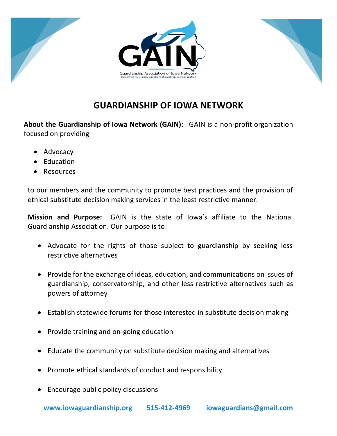

## **GUARDIANSHIP OF IOWA NETWORK**

**About the Guardianship of Iowa Network (GAIN):** GAIN is a non-profit organization focused on providing

- Advocacy
- Education
- Resources

to our members and the community to promote best practices and the provision of ethical substitute decision making services in the least restrictive manner.

**Mission and Purpose:** GAIN is the state of Iowa's affiliate to the National Guardianship Association. Our purpose is to:

- Advocate for the rights of those subject to guardianship by seeking less restrictive alternatives
- Provide for the exchange of ideas, education, and communications on issues of guardianship, conservatorship, and other less restrictive alternatives such as powers of attorney
- Establish statewide forums for those interested in substitute decision making
- Provide training and on-going education
- Educate the community on substitute decision making and alternatives
- Promote ethical standards of conduct and responsibility
- Encourage public policy discussions